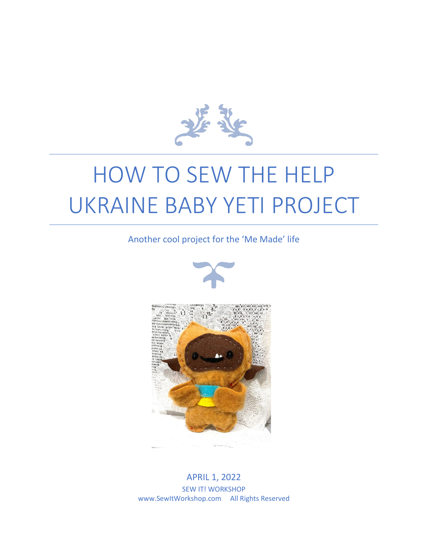

# HOW TO SEW THE HELP UKRAINE BABY YETI PROJECT

Another cool project for the 'Me Made' life





APRIL 1, 2022 SEW IT! WORKSHOP www.SewItWorkshop.com All Rights Reserved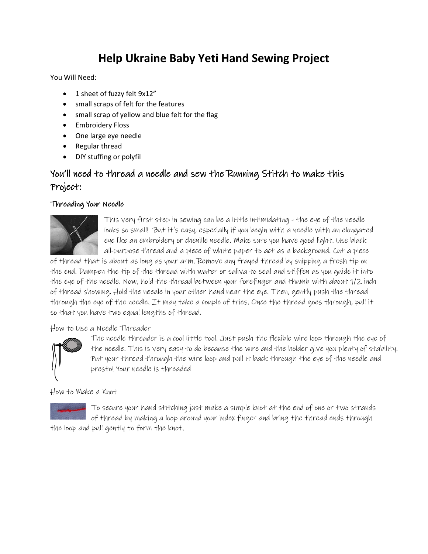## **Help Ukraine Baby Yeti Hand Sewing Project**

You Will Need:

- 1 sheet of fuzzy felt 9x12"
- small scraps of felt for the features
- small scrap of yellow and blue felt for the flag
- Embroidery Floss
- One large eye needle
- Regular thread
- DIY stuffing or polyfil

### You'll need to thread a needle and sew the Running Stitch to make this Project:

#### Threading Your Needle



This very first step in sewing can be a little intimidating - the eye of the needle looks so small! But it's easy, especially if you begin with a needle with an elongated eye like an embroidery or chenille needle. Make sure you have good light. Use black all-purpose thread and a piece of white paper to act as a background. Cut a piece

of thread that is about as long as your arm. Remove any frayed thread by snipping a fresh tip on the end. Dampen the tip of the thread with water or saliva to seal and stiffen as you guide it into the eye of the needle. Now, hold the thread between your forefinger and thumb with about 1/2 inch of thread showing. Hold the needle in your other hand near the eye. Then, gently push the thread through the eye of the needle. It may take a couple of tries. Once the thread goes through, pull it so that you have two equal lengths of thread.

#### How to Use a Needle Threader



The needle threader is a cool little tool. Just push the flexible wire loop through the eye of the needle. This is very easy to do because the wire and the holder give you plenty of stability. Put your thread through the wire loop and pull it back through the eye of the needle and presto! Your needle is threaded

How to Make a Knot



To secure your hand stitching just make a simple knot at the <u>end</u> of one or two strands of thread by making a loop around your index finger and bring the thread ends through

the loop and pull gently to form the knot.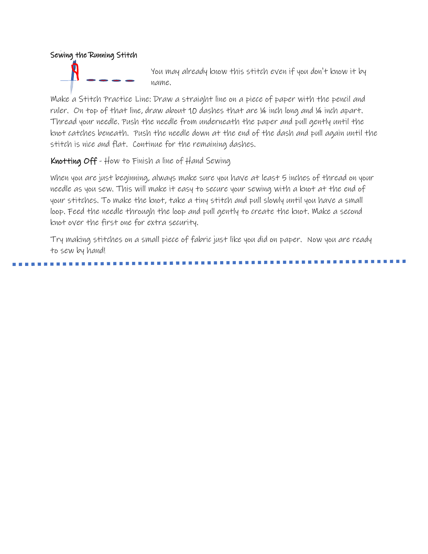

You may already know this stitch even if you don't know it by name.

Make a Stitch Practice Line: Draw a straight line on a piece of paper with the pencil and ruler. On top of that line, draw about 10 dashes that are ¼ inch long and ¼ inch apart. Thread your needle. Push the needle from underneath the paper and pull gently until the knot catches beneath. Push the needle down at the end of the dash and pull again until the stitch is nice and flat. Continue for the remaining dashes.

Knotting Off - How to Finish a line of Hand Sewing

When you are just beginning, always make sure you have at least 5 inches of thread on your needle as you sew. This will make it easy to secure your sewing with a knot at the end of your stitches. To make the knot, take a tiny stitch and pull slowly until you have a small loop. Feed the needle through the loop and pull gently to create the knot. Make a second knot over the first one for extra security.

Try making stitches on a small piece of fabric just like you did on paper. Now you are ready to sew by hand!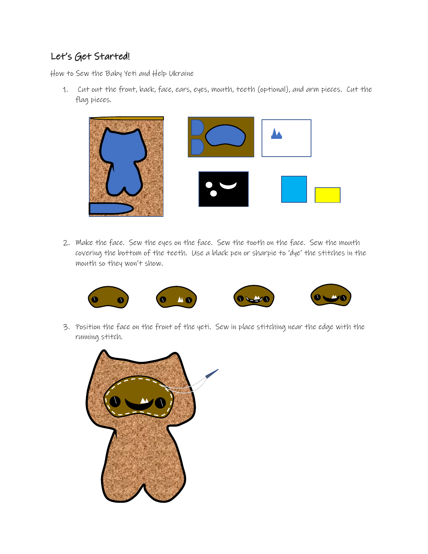## Let's Get Started!

How to Sew the Baby Yeti and Help Ukraine

1. Cut out the front, back, face, ears, eyes, mouth, teeth (optional), and arm pieces. Cut the flag pieces.



2. Make the face. Sew the eyes on the face. Sew the tooth on the face. Sew the mouth covering the bottom of the teeth. Use a black pen or sharpie to 'dye' the stitches in the mouth so they won't show.



3. Position the face on the front of the yeti. Sew in place stitching near the edge with the running stitch.

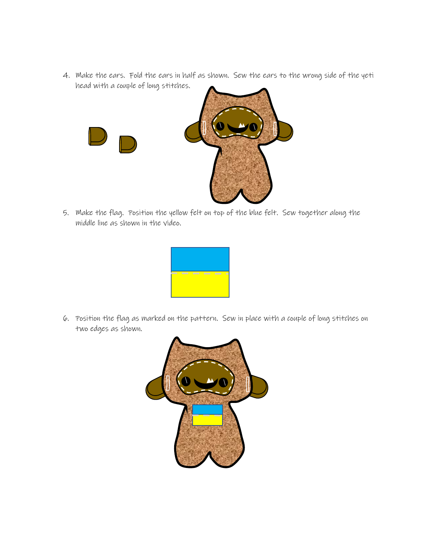4. Make the ears. Fold the ears in half as shown. Sew the ears to the wrong side of the yeti head with a couple of long stitches.



5. Make the flag. Position the yellow felt on top of the blue felt. Sew together along the middle line as shown in the video.



6. Position the flag as marked on the pattern. Sew in place with a couple of long stitches on two edges as shown.

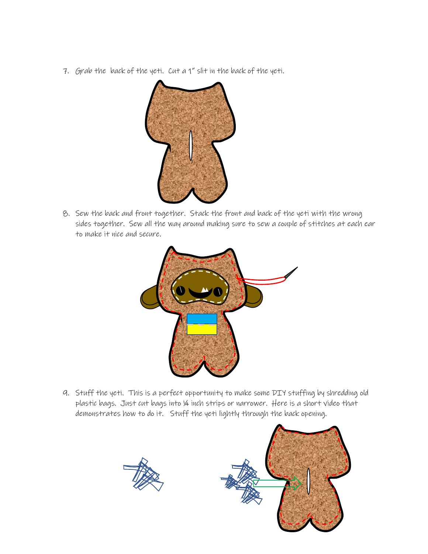7. Grab the back of the yeti. Cut a 1" slit in the back of the yeti.



8. Sew the back and front together. Stack the front and back of the yeti with the wrong sides together. Sew all the way around making sure to sew a couple of stitches at each ear to make it nice and secure.



9. Stuff the yeti. This is a perfect opportunity to make some DIY stuffing by shredding old plastic bags. Just cut bags into ¼ inch strips or narrower. Here is a short video that demonstrates how to do it. Stuff the yeti lightly through the back opening.



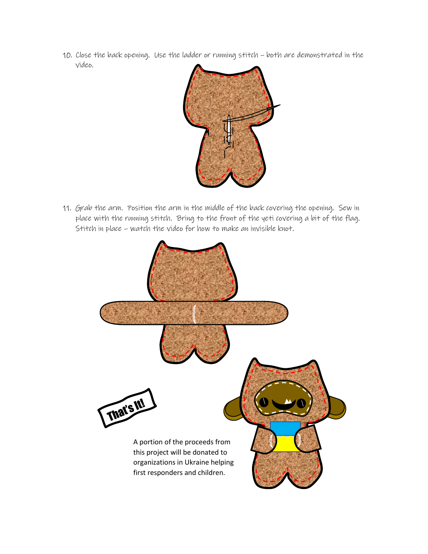10. Close the back opening. Use the ladder or running stitch – both are demonstrated in the video.



11. Grab the arm. Position the arm in the middle of the back covering the opening. Sew in place with the running stitch. Bring to the front of the yeti covering a bit of the flag. Stitch in place – watch the video for how to make an invisible knot.